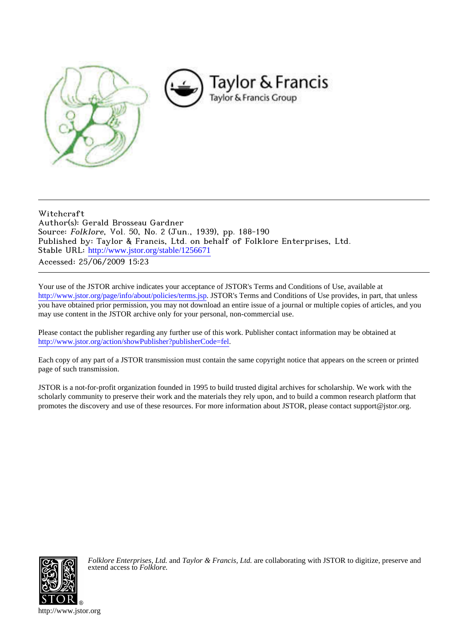

# Witchcraft Author(s): Gerald Brosseau Gardner Source: Folklore, Vol. 50, No. 2 (Jun., 1939), pp. 188-190 Published by: Taylor & Francis, Ltd. on behalf of Folklore Enterprises, Ltd. Stable URL: [http://www.jstor.org/stable/1256671](http://www.jstor.org/stable/1256671?origin=JSTOR-pdf) Accessed: 25/06/2009 15:23

Your use of the JSTOR archive indicates your acceptance of JSTOR's Terms and Conditions of Use, available at <http://www.jstor.org/page/info/about/policies/terms.jsp>. JSTOR's Terms and Conditions of Use provides, in part, that unless you have obtained prior permission, you may not download an entire issue of a journal or multiple copies of articles, and you may use content in the JSTOR archive only for your personal, non-commercial use.

Please contact the publisher regarding any further use of this work. Publisher contact information may be obtained at [http://www.jstor.org/action/showPublisher?publisherCode=fel.](http://www.jstor.org/action/showPublisher?publisherCode=fel)

Each copy of any part of a JSTOR transmission must contain the same copyright notice that appears on the screen or printed page of such transmission.

JSTOR is a not-for-profit organization founded in 1995 to build trusted digital archives for scholarship. We work with the scholarly community to preserve their work and the materials they rely upon, and to build a common research platform that promotes the discovery and use of these resources. For more information about JSTOR, please contact support@jstor.org.



*Folklore Enterprises, Ltd.* and *Taylor & Francis, Ltd.* are collaborating with JSTOR to digitize, preserve and extend access to *Folklore.*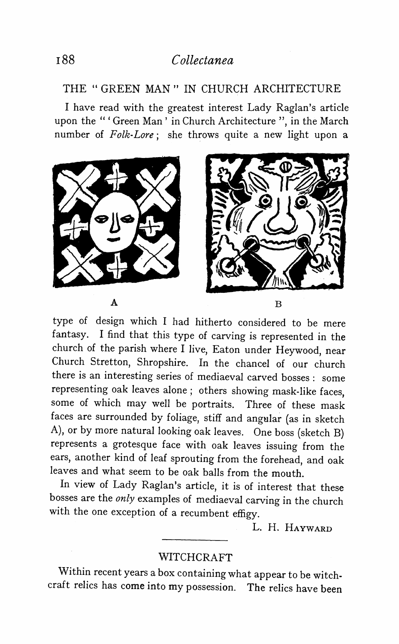## **i88 Collectanea**

#### **THE " GREEN MAN " IN CHURCH ARCHITECTURE**

**I have read with the greatest interest Lady Raglan's article upon the "' Green Man' in Church Architecture ", in the March number of Folk-Lore; she throws quite a new light upon a** 



**type of design which I had hitherto considered to be mere fantasy. I find that this type of carving is represented in the church of the parish where I live, Eaton under Heywood, near Church Stretton, Shropshire. In the chancel of our church there is an interesting series of mediaeval carved bosses: some representing oak leaves alone; others showing mask-like faces, some of which may well be portraits. Three of these mask faces are surrounded by foliage, stiff and angular (as in sketch A), or by more natural looking oak leaves. One boss (sketch B) represents a grotesque face with oak leaves issuing from the ears, another kind of leaf sprouting from the forehead, and oak leaves and what seem to be oak balls from the mouth.** 

**In view of Lady Raglan's article, it is of interest that these bosses are the only examples of mediaeval carving in the church with the one exception of a recumbent effigy.** 

**L. H. HAYWARD** 

#### **WITCHCRAFT**

**Within recent years a box containing what appear to be witchcraft relics has come into my possession. The relics have been**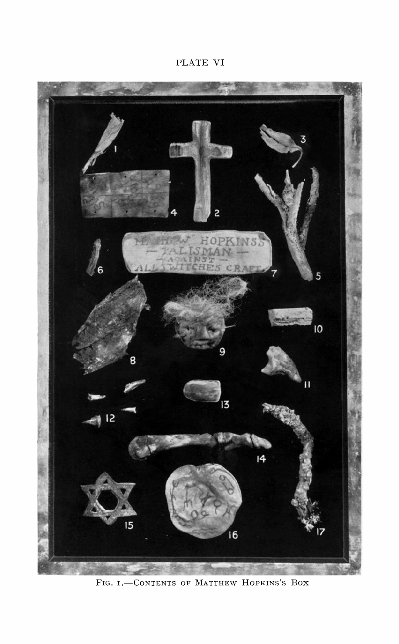### **PLATE VI**



**FIG. I. CONTENTS OF MATTHEW HOPKINS'S BOX**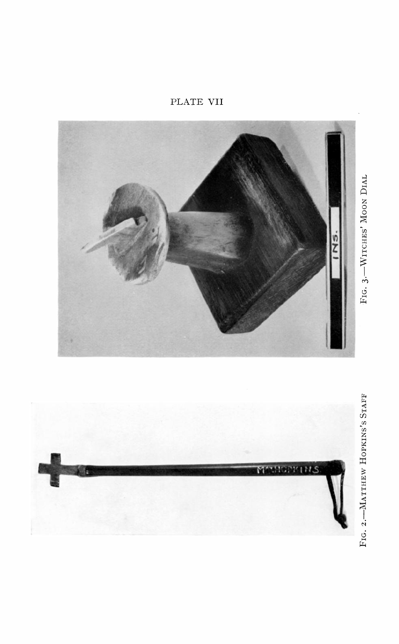PLATE VII

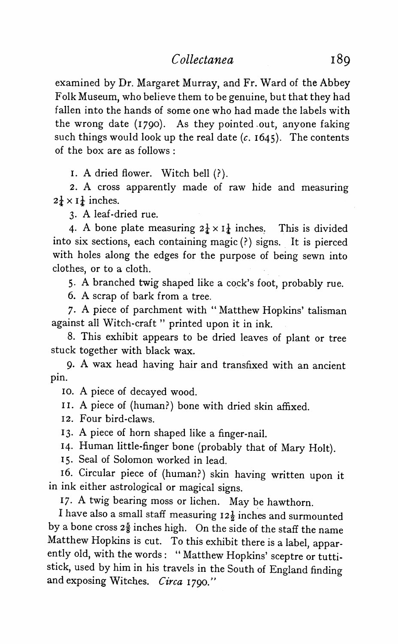**examined by Dr. Margaret Murray, and Fr. Ward of the Abbey Folk Museum, who believe them to be genuine, but that they had fallen into the hands of some one who had made the labels with the wrong date (I790). As they pointed out, anyone faking such things would look up the real date (c. I645). The contents of the box are as follows:** 

**I. A dried flower. Witch bell (?).** 

**2. A cross apparently made of raw hide and measuring**   $2\frac{1}{4} \times I_{\frac{1}{2}}$  inches.

**3. A leaf-dried rue.** 

4. A bone plate measuring  $2\frac{1}{4} \times 1\frac{1}{4}$  inches. This is divided **into six sections, each containing magic (?) signs. It is pierced with holes along the edges for the purpose of being sewn into clothes, or to a cloth.** 

**5. A branched twig shaped like a cock's foot, probably rue.** 

**6. A scrap of bark from a tree.** 

**7. A piece of parchment with "Matthew Hopkins' talisman against all Witch-craft " printed upon it in ink.** 

**8. This exhibit appears to be dried leaves of plant or tree stuck together with black wax.** 

**9. A wax head having hair and transfixed with an ancient pin.** 

**Io. A piece of decayed wood.** 

**II. A piece of (human?) bone with dried skin affixed.** 

**12. Four bird-claws.** 

**I3. A piece of horn shaped like a finger-nail.** 

**I4. Human little-finger bone (probably that of Mary Holt).** 

**I5. Seal of Solomon worked in lead.** 

**I6. Circular piece of (human?) skin having written upon it in ink either astrological or magical signs.** 

**17. A twig bearing moss or lichen. May be hawthorn.** 

I have also a small staff measuring  $12\frac{1}{2}$  inches and surmounted by a bone cross  $2\frac{5}{8}$  inches high. On the side of the staff the name **Matthew Hopkins is cut. To this exhibit there is a label, apparently old, with the words: " Matthew Hopkins' sceptre or tuttistick, used by him in his travels in the South of England finding and exposing Witches. Circa I790."**